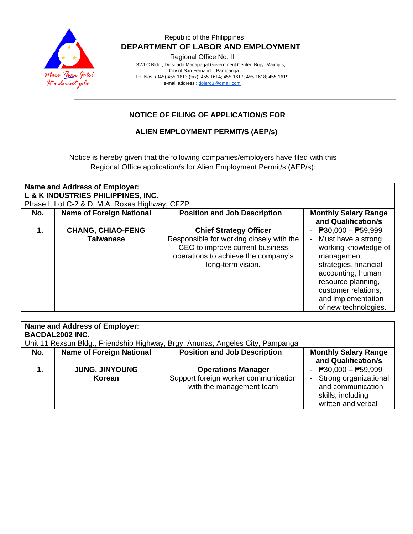

### Republic of the Philippines  **DEPARTMENT OF LABOR AND EMPLOYMENT**

Regional Office No. III

 SWLC Bldg., Diosdado Macapagal Government Center, Brgy. Maimpis, City of San Fernando, Pampanga Tel. Nos. (045)-455-1613 (fax): 455-1614; 455-1617; 455-1618; 455-1619 e-mail address [: dolero3@gmail.com](mailto:dolero3@gmail.com)

## **NOTICE OF FILING OF APPLICATION/S FOR**

#### **ALIEN EMPLOYMENT PERMIT/S (AEP/s)**

Notice is hereby given that the following companies/employers have filed with this Regional Office application/s for Alien Employment Permit/s (AEP/s):

| <b>Name and Address of Employer:</b> |                                                |                                                                                                                                         |                                                                                                                                                                                                   |
|--------------------------------------|------------------------------------------------|-----------------------------------------------------------------------------------------------------------------------------------------|---------------------------------------------------------------------------------------------------------------------------------------------------------------------------------------------------|
|                                      | L & K INDUSTRIES PHILIPPINES, INC.             |                                                                                                                                         |                                                                                                                                                                                                   |
|                                      | Phase I, Lot C-2 & D, M.A. Roxas Highway, CFZP |                                                                                                                                         |                                                                                                                                                                                                   |
| No.                                  | <b>Name of Foreign National</b>                | <b>Position and Job Description</b>                                                                                                     | <b>Monthly Salary Range</b>                                                                                                                                                                       |
|                                      |                                                |                                                                                                                                         | and Qualification/s                                                                                                                                                                               |
|                                      | <b>CHANG, CHIAO-FENG</b>                       | <b>Chief Strategy Officer</b>                                                                                                           | $P30,000 - P59,999$                                                                                                                                                                               |
|                                      | <b>Taiwanese</b>                               | Responsible for working closely with the<br>CEO to improve current business<br>operations to achieve the company's<br>long-term vision. | Must have a strong<br>working knowledge of<br>management<br>strategies, financial<br>accounting, human<br>resource planning,<br>customer relations,<br>and implementation<br>of new technologies. |

| <b>Name and Address of Employer:</b><br><b>BACDAL2002 INC.</b><br>Unit 11 Rexsun Bldg., Friendship Highway, Brgy. Anunas, Angeles City, Pampanga |                                 |                                                                                               |                                                                                                                |
|--------------------------------------------------------------------------------------------------------------------------------------------------|---------------------------------|-----------------------------------------------------------------------------------------------|----------------------------------------------------------------------------------------------------------------|
| No.                                                                                                                                              | <b>Name of Foreign National</b> | <b>Position and Job Description</b>                                                           | <b>Monthly Salary Range</b><br>and Qualification/s                                                             |
|                                                                                                                                                  | <b>JUNG, JINYOUNG</b><br>Korean | <b>Operations Manager</b><br>Support foreign worker communication<br>with the management team | - $P30,000 - P59,999$<br>Strong organizational<br>and communication<br>skills, including<br>written and verbal |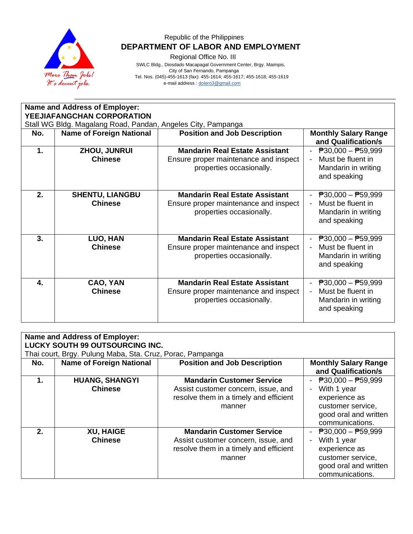

# Republic of the Philippines  **DEPARTMENT OF LABOR AND EMPLOYMENT**

Regional Office No. III

 SWLC Bldg., Diosdado Macapagal Government Center, Brgy. Maimpis, City of San Fernando, Pampanga Tel. Nos. (045)-455-1613 (fax): 455-1614; 455-1617; 455-1618; 455-1619

e-mail address [: dolero3@gmail.com](mailto:dolero3@gmail.com)

| <b>Name and Address of Employer:</b><br>YEEJIAFANGCHAN CORPORATION |                                                              |                                                                                                            |                                                                                                                                   |
|--------------------------------------------------------------------|--------------------------------------------------------------|------------------------------------------------------------------------------------------------------------|-----------------------------------------------------------------------------------------------------------------------------------|
|                                                                    | Stall WG Bldg. Magalang Road, Pandan, Angeles City, Pampanga |                                                                                                            |                                                                                                                                   |
| No.                                                                | <b>Name of Foreign National</b>                              | <b>Position and Job Description</b>                                                                        | <b>Monthly Salary Range</b><br>and Qualification/s                                                                                |
| $\mathbf 1$ .                                                      | <b>ZHOU, JUNRUI</b><br><b>Chinese</b>                        | <b>Mandarin Real Estate Assistant</b><br>Ensure proper maintenance and inspect<br>properties occasionally. | $P30,000 - P59,999$<br>Must be fluent in<br>$\blacksquare$<br>Mandarin in writing<br>and speaking                                 |
| 2.                                                                 | <b>SHENTU, LIANGBU</b><br><b>Chinese</b>                     | <b>Mandarin Real Estate Assistant</b><br>Ensure proper maintenance and inspect<br>properties occasionally. | $\overline{P}30,000 - \overline{P}59,999$<br>Must be fluent in<br>Mandarin in writing<br>and speaking                             |
| 3.                                                                 | LUO, HAN<br><b>Chinese</b>                                   | <b>Mandarin Real Estate Assistant</b><br>Ensure proper maintenance and inspect<br>properties occasionally. | $\overline{P}30,000 - \overline{P}59,999$<br>Must be fluent in<br>$\overline{\phantom{0}}$<br>Mandarin in writing<br>and speaking |
| $\mathbf{4}$                                                       | CAO, YAN<br><b>Chinese</b>                                   | <b>Mandarin Real Estate Assistant</b><br>Ensure proper maintenance and inspect<br>properties occasionally. | $\overline{P}30,000 - \overline{P}59,999$<br>Must be fluent in<br>$\blacksquare$<br>Mandarin in writing<br>and speaking           |

| <b>Name and Address of Employer:</b><br><b>LUCKY SOUTH 99 OUTSOURCING INC.</b><br>Thai court, Brgy. Pulung Maba, Sta. Cruz, Porac, Pampanga |                                         |                                                                                                                             |                                                                                                                                            |
|---------------------------------------------------------------------------------------------------------------------------------------------|-----------------------------------------|-----------------------------------------------------------------------------------------------------------------------------|--------------------------------------------------------------------------------------------------------------------------------------------|
| No.                                                                                                                                         | <b>Name of Foreign National</b>         | <b>Position and Job Description</b>                                                                                         | <b>Monthly Salary Range</b><br>and Qualification/s                                                                                         |
| $\mathbf 1$ .                                                                                                                               | <b>HUANG, SHANGYI</b><br><b>Chinese</b> | <b>Mandarin Customer Service</b><br>Assist customer concern, issue, and<br>resolve them in a timely and efficient<br>manner | - $P30,000 - P59,999$<br>With 1 year<br>$\sim$<br>experience as<br>customer service,<br>good oral and written<br>communications.           |
| $2_{-}$                                                                                                                                     | <b>XU, HAIGE</b><br><b>Chinese</b>      | <b>Mandarin Customer Service</b><br>Assist customer concern, issue, and<br>resolve them in a timely and efficient<br>manner | $\overline{P}30,000 - \overline{P}59,999$<br>With 1 year<br>experience as<br>customer service,<br>good oral and written<br>communications. |